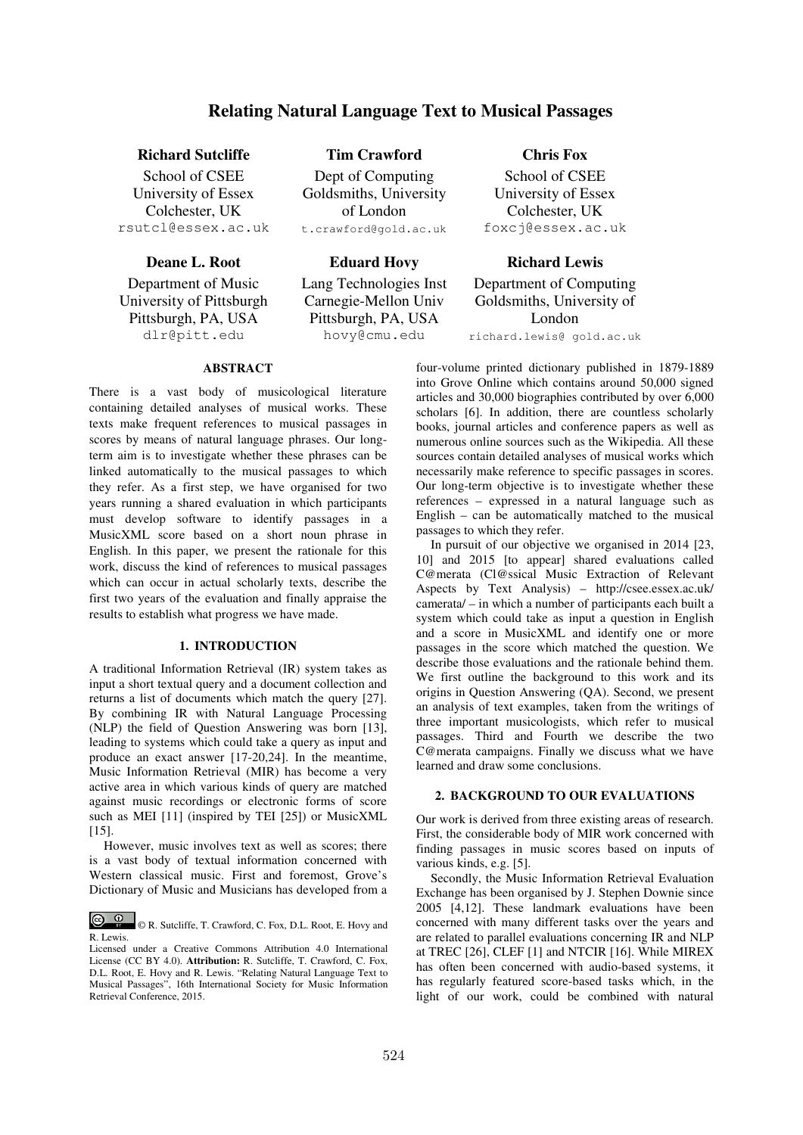# **Relating Natural Language Text to Musical Passages**

# **Richard Sutcliffe Tim Crawford Chris Fox**

School of CSEE University of Essex Colchester, UK rsutcl@essex.ac.uk

Department of Music University of Pittsburgh Pittsburgh, PA, USA dlr@pitt.edu

Dept of Computing Goldsmiths, University of London

t.crawford@gold.ac.uk

Lang Technologies Inst Carnegie-Mellon Univ Pittsburgh, PA, USA hovy@cmu.edu

School of CSEE University of Essex Colchester, UK foxcj@essex.ac.uk

**Deane L. Root Eduard Hovy Richard Lewis** Department of Computing Goldsmiths, University of London richard.lewis@ gold.ac.uk

# **ABSTRACT**

There is a vast body of musicological literature containing detailed analyses of musical works. These texts make frequent references to musical passages in scores by means of natural language phrases. Our longterm aim is to investigate whether these phrases can be linked automatically to the musical passages to which they refer. As a first step, we have organised for two years running a shared evaluation in which participants must develop software to identify passages in a MusicXML score based on a short noun phrase in English. In this paper, we present the rationale for this work, discuss the kind of references to musical passages which can occur in actual scholarly texts, describe the first two years of the evaluation and finally appraise the results to establish what progress we have made.

# **1. INTRODUCTION**

A traditional Information Retrieval (IR) system takes as input a short textual query and a document collection and returns a list of documents which match the query [27]. By combining IR with Natural Language Processing (NLP) the field of Question Answering was born [13], leading to systems which could take a query as input and produce an exact answer [17-20,24]. In the meantime, Music Information Retrieval (MIR) has become a very active area in which various kinds of query are matched against music recordings or electronic forms of score such as MEI [11] (inspired by TEI [25]) or MusicXML [15].

However, music involves text as well as scores; there is a vast body of textual information concerned with Western classical music. First and foremost, Grove's Dictionary of Music and Musicians has developed from a four-volume printed dictionary published in 1879-1889 into Grove Online which contains around 50,000 signed articles and 30,000 biographies contributed by over 6,000 scholars [6]. In addition, there are countless scholarly books, journal articles and conference papers as well as numerous online sources such as the Wikipedia. All these sources contain detailed analyses of musical works which necessarily make reference to specific passages in scores. Our long-term objective is to investigate whether these references – expressed in a natural language such as English – can be automatically matched to the musical passages to which they refer.

In pursuit of our objective we organised in 2014 [23, 10] and 2015 [to appear] shared evaluations called C@merata (Cl@ssical Music Extraction of Relevant Aspects by Text Analysis) – http://csee.essex.ac.uk/ camerata/ – in which a number of participants each built a system which could take as input a question in English and a score in MusicXML and identify one or more passages in the score which matched the question. We describe those evaluations and the rationale behind them. We first outline the background to this work and its origins in Question Answering (QA). Second, we present an analysis of text examples, taken from the writings of three important musicologists, which refer to musical passages. Third and Fourth we describe the two C@merata campaigns. Finally we discuss what we have learned and draw some conclusions.

# **2. BACKGROUND TO OUR EVALUATIONS**

Our work is derived from three existing areas of research. First, the considerable body of MIR work concerned with finding passages in music scores based on inputs of various kinds, e.g. [5].

Secondly, the Music Information Retrieval Evaluation Exchange has been organised by J. Stephen Downie since 2005 [4,12]. These landmark evaluations have been concerned with many different tasks over the years and are related to parallel evaluations concerning IR and NLP at TREC [26], CLEF [1] and NTCIR [16]. While MIREX has often been concerned with audio-based systems, it has regularly featured score-based tasks which, in the light of our work, could be combined with natural

 <sup>©</sup> R. Sutcliffe, T. Crawford, C. Fox, D.L. Root, E. Hovy and R. Lewis.

Licensed under a Creative Commons Attribution 4.0 International License (CC BY 4.0). **Attribution:** R. Sutcliffe, T. Crawford, C. Fox, D.L. Root, E. Hovy and R. Lewis. "Relating Natural Language Text to Musical Passages", 16th International Society for Music Information Retrieval Conference, 2015.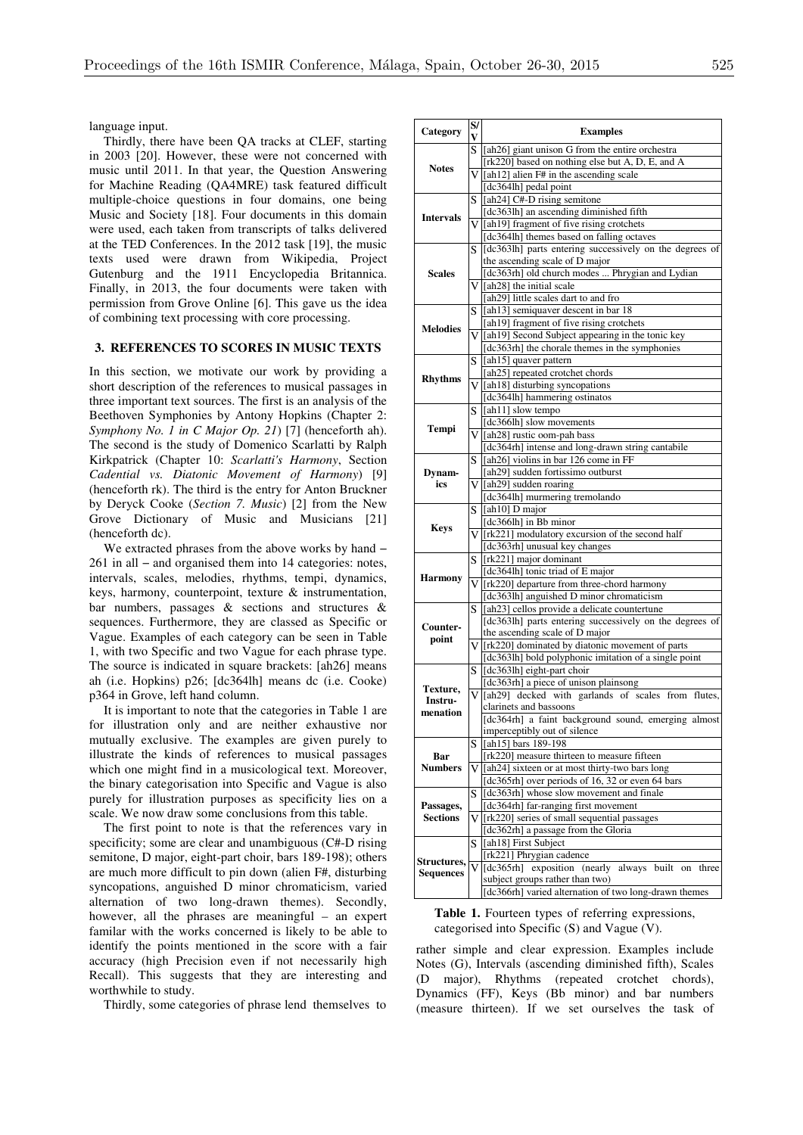language input.

Thirdly, there have been QA tracks at CLEF, starting in 2003 [20]. However, these were not concerned with music until 2011. In that year, the Question Answering for Machine Reading (QA4MRE) task featured difficult multiple-choice questions in four domains, one being Music and Society [18]. Four documents in this domain were used, each taken from transcripts of talks delivered at the TED Conferences. In the 2012 task [19], the music texts used were drawn from Wikipedia, Project Gutenburg and the 1911 Encyclopedia Britannica. Finally, in 2013, the four documents were taken with permission from Grove Online [6]. This gave us the idea of combining text processing with core processing.

### **3. REFERENCES TO SCORES IN MUSIC TEXTS**

In this section, we motivate our work by providing a short description of the references to musical passages in three important text sources. The first is an analysis of the Beethoven Symphonies by Antony Hopkins (Chapter 2: *Symphony No. 1 in C Major Op. 21*) [7] (henceforth ah). The second is the study of Domenico Scarlatti by Ralph Kirkpatrick (Chapter 10: *Scarlatti's Harmony*, Section *Cadential vs. Diatonic Movement of Harmony*) [9] (henceforth rk). The third is the entry for Anton Bruckner by Deryck Cooke (*Section 7. Music*) [2] from the New Grove Dictionary of Music and Musicians [21] (henceforth dc).

We extracted phrases from the above works by hand − 261 in all − and organised them into 14 categories: notes, intervals, scales, melodies, rhythms, tempi, dynamics, keys, harmony, counterpoint, texture & instrumentation, bar numbers, passages & sections and structures & sequences. Furthermore, they are classed as Specific or Vague. Examples of each category can be seen in Table 1, with two Specific and two Vague for each phrase type. The source is indicated in square brackets: [ah26] means ah (i.e. Hopkins) p26; [dc364lh] means dc (i.e. Cooke) p364 in Grove, left hand column.

It is important to note that the categories in Table 1 are for illustration only and are neither exhaustive nor mutually exclusive. The examples are given purely to illustrate the kinds of references to musical passages which one might find in a musicological text. Moreover, the binary categorisation into Specific and Vague is also purely for illustration purposes as specificity lies on a scale. We now draw some conclusions from this table.

The first point to note is that the references vary in specificity; some are clear and unambiguous (C#-D rising semitone, D major, eight-part choir, bars 189-198); others are much more difficult to pin down (alien F#, disturbing syncopations, anguished D minor chromaticism, varied alternation of two long-drawn themes). Secondly, however, all the phrases are meaningful – an expert familar with the works concerned is likely to be able to identify the points mentioned in the score with a fair accuracy (high Precision even if not necessarily high Recall). This suggests that they are interesting and worthwhile to study.

Thirdly, some categories of phrase lend themselves to

| Category                          | S/<br>V | <b>Examples</b>                                                                              |  |  |  |  |
|-----------------------------------|---------|----------------------------------------------------------------------------------------------|--|--|--|--|
|                                   |         | S [ah26] giant unison G from the entire orchestra                                            |  |  |  |  |
|                                   |         | [rk220] based on nothing else but A, D, E, and A                                             |  |  |  |  |
| <b>Notes</b>                      |         | $V$ [ah12] alien F# in the ascending scale                                                   |  |  |  |  |
|                                   |         | [dc364lh] pedal point                                                                        |  |  |  |  |
|                                   | S       | [ah24] C#-D rising semitone                                                                  |  |  |  |  |
|                                   |         | [dc363lh] an ascending diminished fifth                                                      |  |  |  |  |
| <b>Intervals</b><br><b>Scales</b> |         | V [ah19] fragment of five rising crotchets                                                   |  |  |  |  |
|                                   |         | [dc364lh] themes based on falling octaves                                                    |  |  |  |  |
|                                   | S       | [dc363lh] parts entering successively on the degrees of                                      |  |  |  |  |
|                                   |         | the ascending scale of D major                                                               |  |  |  |  |
|                                   |         | [dc363rh] old church modes  Phrygian and Lydian                                              |  |  |  |  |
|                                   |         | $V$ [ah28] the initial scale                                                                 |  |  |  |  |
|                                   |         | [ah29] little scales dart to and fro                                                         |  |  |  |  |
|                                   | S       | [ah13] semiquaver descent in bar 18                                                          |  |  |  |  |
|                                   |         | [ah19] fragment of five rising crotchets                                                     |  |  |  |  |
| <b>Melodies</b>                   |         | V [ah19] Second Subject appearing in the tonic key                                           |  |  |  |  |
|                                   |         | [dc363rh] the chorale themes in the symphonies                                               |  |  |  |  |
|                                   | S       | [ah15] quaver pattern                                                                        |  |  |  |  |
|                                   |         | [ah25] repeated crotchet chords                                                              |  |  |  |  |
| <b>Rhythms</b>                    |         | V [ah18] disturbing syncopations                                                             |  |  |  |  |
|                                   |         | [dc364lh] hammering ostinatos                                                                |  |  |  |  |
|                                   | S       | [ah11] slow tempo                                                                            |  |  |  |  |
|                                   |         | [dc366lh] slow movements                                                                     |  |  |  |  |
| Tempi                             |         | V [ah28] rustic oom-pah bass                                                                 |  |  |  |  |
|                                   |         | [dc364rh] intense and long-drawn string cantabile                                            |  |  |  |  |
|                                   | S       | [ah26] violins in bar 126 come in FF                                                         |  |  |  |  |
| Dynam-                            |         | [ah29] sudden fortissimo outburst                                                            |  |  |  |  |
| ics                               |         | $V$ [ah29] sudden roaring                                                                    |  |  |  |  |
|                                   |         | [dc364lh] murmering tremolando                                                               |  |  |  |  |
|                                   |         | $S$ [ah10] D major                                                                           |  |  |  |  |
|                                   |         | [dc366lh] in Bb minor                                                                        |  |  |  |  |
| <b>Keys</b>                       |         | V [rk221] modulatory excursion of the second half                                            |  |  |  |  |
|                                   |         | [dc363rh] unusual key changes                                                                |  |  |  |  |
|                                   | S       | [rk221] major dominant                                                                       |  |  |  |  |
| <b>Harmony</b>                    |         | [dc364lh] tonic triad of E major                                                             |  |  |  |  |
|                                   |         | $V$ [rk220] departure from three-chord harmony                                               |  |  |  |  |
|                                   |         | [dc363lh] anguished D minor chromaticism                                                     |  |  |  |  |
|                                   | S       | [ah23] cellos provide a delicate countertune                                                 |  |  |  |  |
| Counter-                          |         | [dc363lh] parts entering successively on the degrees of                                      |  |  |  |  |
| point                             |         | the ascending scale of D major                                                               |  |  |  |  |
|                                   |         | V [rk220] dominated by diatonic movement of parts                                            |  |  |  |  |
|                                   |         | [dc363lh] bold polyphonic imitation of a single point                                        |  |  |  |  |
|                                   | S       | [dc363lh] eight-part choir                                                                   |  |  |  |  |
| Texture,                          |         | [dc363rh] a piece of unison plainsong                                                        |  |  |  |  |
| Instru-                           | V       | [ah29] decked with garlands of scales from flutes,                                           |  |  |  |  |
| menation                          |         | clarinets and bassoons                                                                       |  |  |  |  |
|                                   |         | [dc364rh] a faint background sound, emerging almost                                          |  |  |  |  |
|                                   |         | imperceptibly out of silence                                                                 |  |  |  |  |
|                                   | S       | [ah15] bars 189-198                                                                          |  |  |  |  |
| Bar                               |         | [rk220] measure thirteen to measure fifteen                                                  |  |  |  |  |
| <b>Numbers</b>                    |         | $V$ [ah24] sixteen or at most thirty-two bars long                                           |  |  |  |  |
|                                   |         | [dc365rh] over periods of 16, 32 or even 64 bars<br>[dc363rh] whose slow movement and finale |  |  |  |  |
|                                   | S       |                                                                                              |  |  |  |  |
| Passages,<br><b>Sections</b>      |         | [dc364rh] far-ranging first movement                                                         |  |  |  |  |
|                                   | V       | [rk220] series of small sequential passages<br>[dc362rh] a passage from the Gloria           |  |  |  |  |
|                                   |         | [ah18] First Subject                                                                         |  |  |  |  |
|                                   | S       | [rk221] Phrygian cadence                                                                     |  |  |  |  |
| Structures,<br><b>Sequences</b>   | V       | exposition (nearly always<br>[dc $365$ rh]<br>built                                          |  |  |  |  |
|                                   |         | three<br>on<br>subject groups rather than two)                                               |  |  |  |  |
|                                   |         | [dc366rh] varied alternation of two long-drawn themes                                        |  |  |  |  |
|                                   |         |                                                                                              |  |  |  |  |

**Table 1.** Fourteen types of referring expressions, categorised into Specific (S) and Vague (V).

rather simple and clear expression. Examples include Notes (G), Intervals (ascending diminished fifth), Scales (D major), Rhythms (repeated crotchet chords), Dynamics (FF), Keys (Bb minor) and bar numbers (measure thirteen). If we set ourselves the task of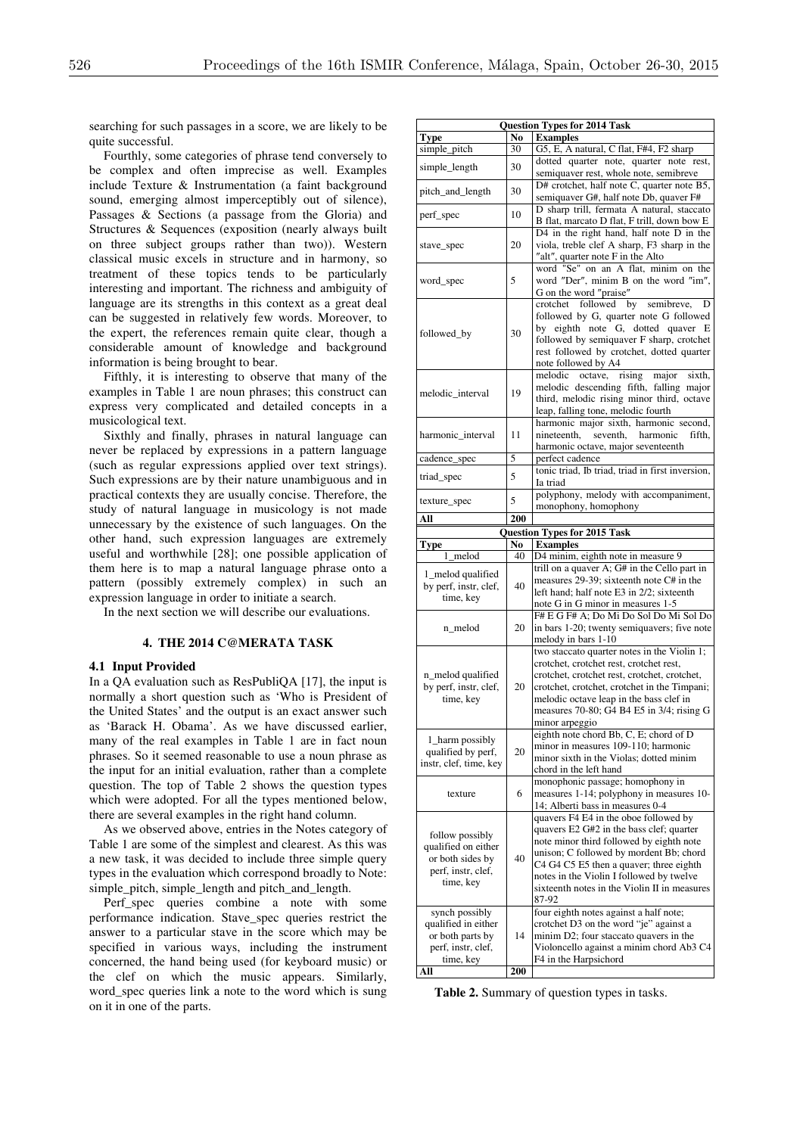searching for such passages in a score, we are likely to be quite successful.

Fourthly, some categories of phrase tend conversely to be complex and often imprecise as well. Examples include Texture & Instrumentation (a faint background sound, emerging almost imperceptibly out of silence), Passages & Sections (a passage from the Gloria) and Structures & Sequences (exposition (nearly always built on three subject groups rather than two)). Western classical music excels in structure and in harmony, so treatment of these topics tends to be particularly interesting and important. The richness and ambiguity of language are its strengths in this context as a great deal can be suggested in relatively few words. Moreover, to the expert, the references remain quite clear, though a considerable amount of knowledge and background information is being brought to bear.

Fifthly, it is interesting to observe that many of the examples in Table 1 are noun phrases; this construct can express very complicated and detailed concepts in a musicological text.

Sixthly and finally, phrases in natural language can never be replaced by expressions in a pattern language (such as regular expressions applied over text strings). Such expressions are by their nature unambiguous and in practical contexts they are usually concise. Therefore, the study of natural language in musicology is not made unnecessary by the existence of such languages. On the other hand, such expression languages are extremely useful and worthwhile [28]; one possible application of them here is to map a natural language phrase onto a pattern (possibly extremely complex) in such an expression language in order to initiate a search.

In the next section we will describe our evaluations.

### **4. THE 2014 C@MERATA TASK**

#### **4.1 Input Provided**

In a QA evaluation such as ResPubliQA [17], the input is normally a short question such as 'Who is President of the United States' and the output is an exact answer such as 'Barack H. Obama'. As we have discussed earlier, many of the real examples in Table 1 are in fact noun phrases. So it seemed reasonable to use a noun phrase as the input for an initial evaluation, rather than a complete question. The top of Table 2 shows the question types which were adopted. For all the types mentioned below, there are several examples in the right hand column.

As we observed above, entries in the Notes category of Table 1 are some of the simplest and clearest. As this was a new task, it was decided to include three simple query types in the evaluation which correspond broadly to Note: simple\_pitch, simple\_length and pitch\_and\_length.

Perf\_spec queries combine a note with some performance indication. Stave\_spec queries restrict the answer to a particular stave in the score which may be specified in various ways, including the instrument concerned, the hand being used (for keyboard music) or the clef on which the music appears. Similarly, word\_spec queries link a note to the word which is sung on it in one of the parts.

| <b>Question Types for 2014 Task</b>     |                |                                                                                           |  |  |  |  |  |  |  |
|-----------------------------------------|----------------|-------------------------------------------------------------------------------------------|--|--|--|--|--|--|--|
| Type                                    | No             | <b>Examples</b>                                                                           |  |  |  |  |  |  |  |
| simple_pitch                            | 30             | G5, E, A natural, C flat, F#4, F2 sharp<br>dotted quarter note, quarter note rest,        |  |  |  |  |  |  |  |
| simple_length                           | 30             | semiquaver rest, whole note, semibreve                                                    |  |  |  |  |  |  |  |
| pitch_and_length                        | 30             | D# crotchet, half note C, quarter note B5,                                                |  |  |  |  |  |  |  |
|                                         |                | semiquaver G#, half note Db, quaver F#                                                    |  |  |  |  |  |  |  |
| perf_spec                               | 10             | D sharp trill, fermata A natural, staccato<br>B flat, marcato D flat, F trill, down bow E |  |  |  |  |  |  |  |
|                                         |                | D4 in the right hand, half note D in the                                                  |  |  |  |  |  |  |  |
| stave_spec                              | 20             | viola, treble clef A sharp, F3 sharp in the                                               |  |  |  |  |  |  |  |
|                                         |                | "alt", quarter note F in the Alto                                                         |  |  |  |  |  |  |  |
| word_spec                               | 5              | word "Se" on an A flat, minim on the<br>word "Der", minim B on the word "im",             |  |  |  |  |  |  |  |
|                                         |                | G on the word "praise"                                                                    |  |  |  |  |  |  |  |
|                                         |                | crotchet followed by semibreve,<br>D                                                      |  |  |  |  |  |  |  |
|                                         |                | followed by G, quarter note G followed<br>by eighth note G, dotted quaver E               |  |  |  |  |  |  |  |
| followed_by                             | 30             | followed by semiquaver F sharp, crotchet                                                  |  |  |  |  |  |  |  |
|                                         |                | rest followed by crotchet, dotted quarter                                                 |  |  |  |  |  |  |  |
|                                         |                | note followed by A4                                                                       |  |  |  |  |  |  |  |
|                                         | 19             | melodic octave.<br>rising<br>major<br>sixth,<br>melodic descending fifth, falling major   |  |  |  |  |  |  |  |
| melodic_interval                        |                | third, melodic rising minor third, octave                                                 |  |  |  |  |  |  |  |
|                                         |                | leap, falling tone, melodic fourth                                                        |  |  |  |  |  |  |  |
|                                         |                | harmonic major sixth, harmonic second,                                                    |  |  |  |  |  |  |  |
| harmonic_interval                       | 11             | nineteenth.<br>seventh, harmonic<br>fifth.<br>harmonic octave, major seventeenth          |  |  |  |  |  |  |  |
| cadence_spec                            | 5              | perfect cadence                                                                           |  |  |  |  |  |  |  |
|                                         | 5              | tonic triad, Ib triad, triad in first inversion,                                          |  |  |  |  |  |  |  |
| triad_spec                              |                | Ia triad                                                                                  |  |  |  |  |  |  |  |
| texture_spec                            | 5              | polyphony, melody with accompaniment,<br>monophony, homophony                             |  |  |  |  |  |  |  |
| All                                     | 200            |                                                                                           |  |  |  |  |  |  |  |
|                                         |                | <b>Question Types for 2015 Task</b>                                                       |  |  |  |  |  |  |  |
|                                         |                |                                                                                           |  |  |  |  |  |  |  |
| Type                                    | N <sub>0</sub> | <b>Examples</b>                                                                           |  |  |  |  |  |  |  |
| melod                                   | 40             | D4 minim, eighth note in measure 9                                                        |  |  |  |  |  |  |  |
| 1_melod qualified                       |                | trill on a quaver A; $G#$ in the Cello part in                                            |  |  |  |  |  |  |  |
| by perf, instr, clef,                   | 40             | measures 29-39; sixteenth note C# in the<br>left hand; half note E3 in 2/2; sixteenth     |  |  |  |  |  |  |  |
| time, key                               |                | note G in G minor in measures 1-5                                                         |  |  |  |  |  |  |  |
|                                         |                | F# E G F# A; Do Mi Do Sol Do Mi Sol Do                                                    |  |  |  |  |  |  |  |
| n_melod                                 | 20             | in bars 1-20; twenty semiquavers; five note                                               |  |  |  |  |  |  |  |
|                                         |                | melody in bars 1-10<br>two staccato quarter notes in the Violin 1;                        |  |  |  |  |  |  |  |
|                                         |                | crotchet, crotchet rest, crotchet rest,                                                   |  |  |  |  |  |  |  |
| n_melod qualified                       |                | crotchet, crotchet rest, crotchet, crotchet,                                              |  |  |  |  |  |  |  |
| by perf, instr, clef,<br>time, key      | 20             | crotchet, crotchet, crotchet in the Timpani;<br>melodic octave leap in the bass clef in   |  |  |  |  |  |  |  |
|                                         |                | measures 70-80; G4 B4 E5 in $3/4$ ; rising G                                              |  |  |  |  |  |  |  |
|                                         |                | minor arpeggio                                                                            |  |  |  |  |  |  |  |
| 1_harm possibly                         |                | eighth note chord Bb, C, E; chord of D                                                    |  |  |  |  |  |  |  |
| qualified by perf,                      | 20             | minor in measures 109-110; harmonic<br>minor sixth in the Violas: dotted minim            |  |  |  |  |  |  |  |
| instr, clef, time, key                  |                | chord in the left hand                                                                    |  |  |  |  |  |  |  |
|                                         |                | monophonic passage; homophony in                                                          |  |  |  |  |  |  |  |
| texture                                 | 6              | measures 1-14; polyphony in measures 10-                                                  |  |  |  |  |  |  |  |
|                                         |                | 14; Alberti bass in measures 0-4<br>quavers F4 E4 in the oboe followed by                 |  |  |  |  |  |  |  |
|                                         |                | quavers E2 G#2 in the bass clef; quarter                                                  |  |  |  |  |  |  |  |
| follow possibly<br>qualified on either  |                | note minor third followed by eighth note                                                  |  |  |  |  |  |  |  |
| or both sides by                        | 40             | unison; C followed by mordent Bb; chord                                                   |  |  |  |  |  |  |  |
| perf, instr, clef,                      |                | C4 G4 C5 E5 then a quaver; three eighth<br>notes in the Violin I followed by twelve       |  |  |  |  |  |  |  |
| time, key                               |                | sixteenth notes in the Violin II in measures                                              |  |  |  |  |  |  |  |
|                                         |                | 87-92                                                                                     |  |  |  |  |  |  |  |
| synch possibly                          |                | four eighth notes against a half note;                                                    |  |  |  |  |  |  |  |
| qualified in either<br>or both parts by | 14             | crotchet D3 on the word "je" against a<br>minim D2; four staccato quavers in the          |  |  |  |  |  |  |  |
| perf, instr, clef,<br>time, key         |                | Violoncello against a minim chord Ab3 C4<br>F4 in the Harpsichord                         |  |  |  |  |  |  |  |

**Table 2.** Summary of question types in tasks.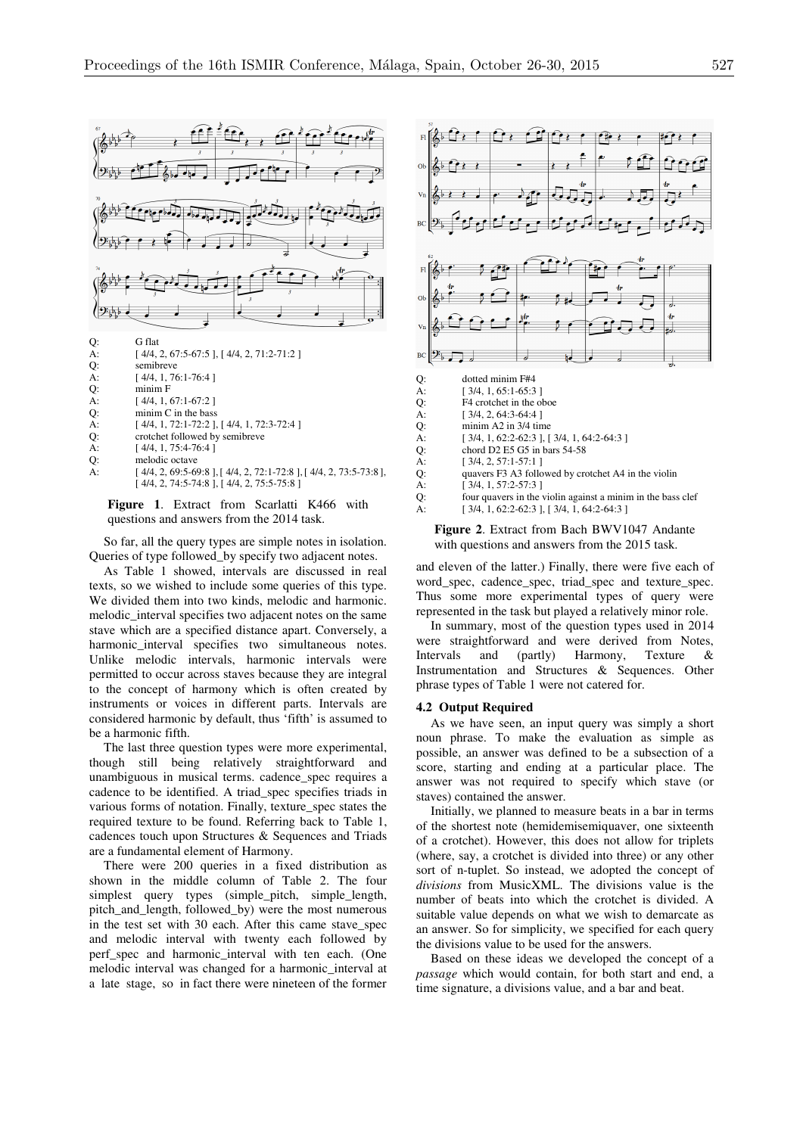

**Figure 1**. Extract from Scarlatti K466 with questions and answers from the 2014 task.

So far, all the query types are simple notes in isolation. Queries of type followed\_by specify two adjacent notes.

As Table 1 showed, intervals are discussed in real texts, so we wished to include some queries of this type. We divided them into two kinds, melodic and harmonic. melodic interval specifies two adjacent notes on the same stave which are a specified distance apart. Conversely, a harmonic\_interval specifies two simultaneous notes. Unlike melodic intervals, harmonic intervals were permitted to occur across staves because they are integral to the concept of harmony which is often created by instruments or voices in different parts. Intervals are considered harmonic by default, thus 'fifth' is assumed to be a harmonic fifth.

The last three question types were more experimental, though still being relatively straightforward and unambiguous in musical terms. cadence\_spec requires a cadence to be identified. A triad\_spec specifies triads in various forms of notation. Finally, texture\_spec states the required texture to be found. Referring back to Table 1, cadences touch upon Structures & Sequences and Triads are a fundamental element of Harmony.

There were 200 queries in a fixed distribution as shown in the middle column of Table 2. The four simplest query types (simple\_pitch, simple\_length, pitch\_and\_length, followed\_by) were the most numerous in the test set with 30 each. After this came stave\_spec and melodic interval with twenty each followed by perf\_spec and harmonic\_interval with ten each. (One melodic interval was changed for a harmonic\_interval at a late stage, so in fact there were nineteen of the former



#### **Figure 2**. Extract from Bach BWV1047 Andante with questions and answers from the 2015 task.

and eleven of the latter.) Finally, there were five each of word\_spec, cadence\_spec, triad\_spec and texture\_spec. Thus some more experimental types of query were represented in the task but played a relatively minor role.

In summary, most of the question types used in 2014 were straightforward and were derived from Notes, Intervals and (partly) Harmony, Texture & Instrumentation and Structures & Sequences. Other phrase types of Table 1 were not catered for.

#### **4.2 Output Required**

As we have seen, an input query was simply a short noun phrase. To make the evaluation as simple as possible, an answer was defined to be a subsection of a score, starting and ending at a particular place. The answer was not required to specify which stave (or staves) contained the answer.

Initially, we planned to measure beats in a bar in terms of the shortest note (hemidemisemiquaver, one sixteenth of a crotchet). However, this does not allow for triplets (where, say, a crotchet is divided into three) or any other sort of n-tuplet. So instead, we adopted the concept of *divisions* from MusicXML. The divisions value is the number of beats into which the crotchet is divided. A suitable value depends on what we wish to demarcate as an answer. So for simplicity, we specified for each query the divisions value to be used for the answers.

Based on these ideas we developed the concept of a *passage* which would contain, for both start and end, a time signature, a divisions value, and a bar and beat.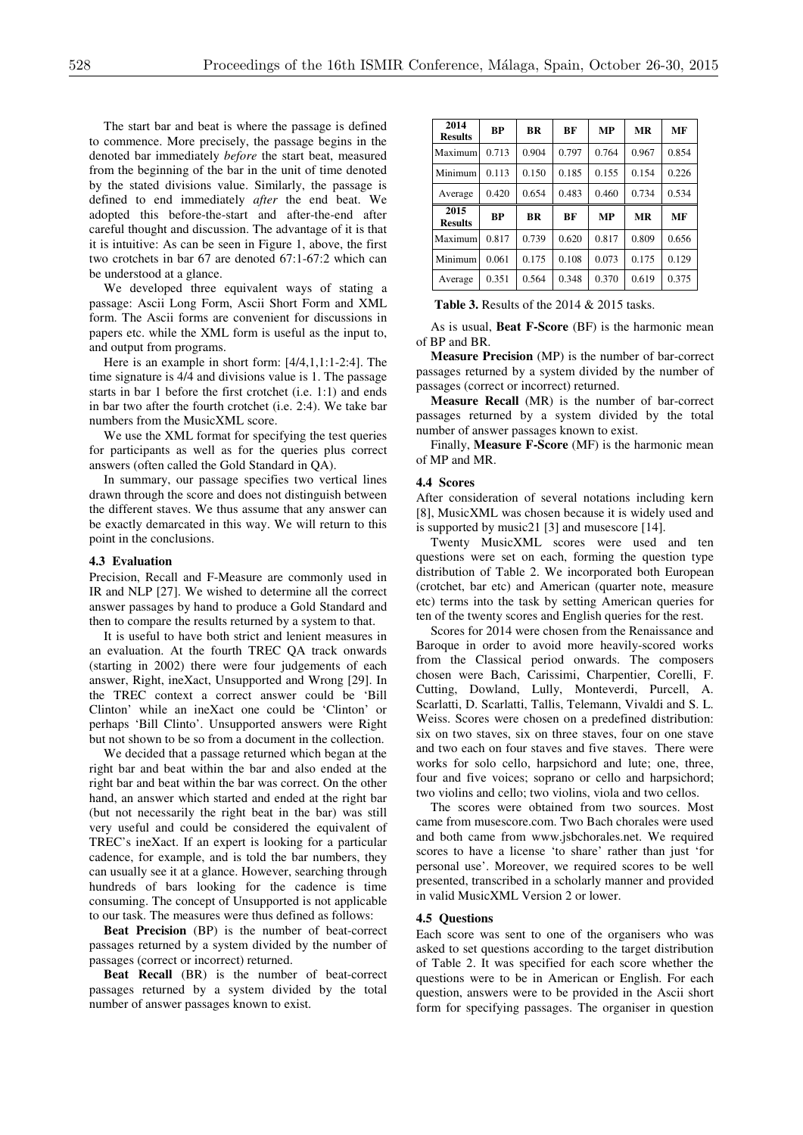The start bar and beat is where the passage is defined to commence. More precisely, the passage begins in the denoted bar immediately *before* the start beat, measured from the beginning of the bar in the unit of time denoted by the stated divisions value. Similarly, the passage is defined to end immediately *after* the end beat. We adopted this before-the-start and after-the-end after careful thought and discussion. The advantage of it is that it is intuitive: As can be seen in Figure 1, above, the first two crotchets in bar 67 are denoted 67:1-67:2 which can be understood at a glance.

We developed three equivalent ways of stating a passage: Ascii Long Form, Ascii Short Form and XML form. The Ascii forms are convenient for discussions in papers etc. while the XML form is useful as the input to, and output from programs.

Here is an example in short form: [4/4,1,1:1-2:4]. The time signature is 4/4 and divisions value is 1. The passage starts in bar 1 before the first crotchet (i.e. 1:1) and ends in bar two after the fourth crotchet (i.e. 2:4). We take bar numbers from the MusicXML score.

We use the XML format for specifying the test queries for participants as well as for the queries plus correct answers (often called the Gold Standard in QA).

In summary, our passage specifies two vertical lines drawn through the score and does not distinguish between the different staves. We thus assume that any answer can be exactly demarcated in this way. We will return to this point in the conclusions.

#### **4.3 Evaluation**

Precision, Recall and F-Measure are commonly used in IR and NLP [27]. We wished to determine all the correct answer passages by hand to produce a Gold Standard and then to compare the results returned by a system to that.

It is useful to have both strict and lenient measures in an evaluation. At the fourth TREC QA track onwards (starting in 2002) there were four judgements of each answer, Right, ineXact, Unsupported and Wrong [29]. In the TREC context a correct answer could be 'Bill Clinton' while an ineXact one could be 'Clinton' or perhaps 'Bill Clinto'. Unsupported answers were Right but not shown to be so from a document in the collection.

We decided that a passage returned which began at the right bar and beat within the bar and also ended at the right bar and beat within the bar was correct. On the other hand, an answer which started and ended at the right bar (but not necessarily the right beat in the bar) was still very useful and could be considered the equivalent of TREC's ineXact. If an expert is looking for a particular cadence, for example, and is told the bar numbers, they can usually see it at a glance. However, searching through hundreds of bars looking for the cadence is time consuming. The concept of Unsupported is not applicable to our task. The measures were thus defined as follows:

**Beat Precision** (BP) is the number of beat-correct passages returned by a system divided by the number of passages (correct or incorrect) returned.

**Beat Recall** (BR) is the number of beat-correct passages returned by a system divided by the total number of answer passages known to exist.

| 2014<br><b>Results</b> | BP    | <b>BR</b> | BF    | MP    | MR    | MF    |
|------------------------|-------|-----------|-------|-------|-------|-------|
| Maximum                | 0.713 | 0.904     | 0.797 | 0.764 | 0.967 | 0.854 |
| Minimum                | 0.113 | 0.150     | 0.185 | 0.155 | 0.154 | 0.226 |
| Average                | 0.420 | 0.654     | 0.483 | 0.460 | 0.734 | 0.534 |
|                        |       |           |       |       |       |       |
| 2015<br><b>Results</b> | BP    | <b>BR</b> | BF    | MP    | MR    | MF    |
| Maximum                | 0.817 | 0.739     | 0.620 | 0.817 | 0.809 | 0.656 |
| Minimum                | 0.061 | 0.175     | 0.108 | 0.073 | 0.175 | 0.129 |

**Table 3.** Results of the 2014 & 2015 tasks.

As is usual, **Beat F-Score** (BF) is the harmonic mean of BP and BR.

**Measure Precision** (MP) is the number of bar-correct passages returned by a system divided by the number of passages (correct or incorrect) returned.

**Measure Recall** (MR) is the number of bar-correct passages returned by a system divided by the total number of answer passages known to exist.

Finally, **Measure F-Score** (MF) is the harmonic mean of MP and MR.

#### **4.4 Scores**

After consideration of several notations including kern [8], MusicXML was chosen because it is widely used and is supported by music21 [3] and musescore [14].

Twenty MusicXML scores were used and ten questions were set on each, forming the question type distribution of Table 2. We incorporated both European (crotchet, bar etc) and American (quarter note, measure etc) terms into the task by setting American queries for ten of the twenty scores and English queries for the rest.

Scores for 2014 were chosen from the Renaissance and Baroque in order to avoid more heavily-scored works from the Classical period onwards. The composers chosen were Bach, Carissimi, Charpentier, Corelli, F. Cutting, Dowland, Lully, Monteverdi, Purcell, A. Scarlatti, D. Scarlatti, Tallis, Telemann, Vivaldi and S. L. Weiss. Scores were chosen on a predefined distribution: six on two staves, six on three staves, four on one stave and two each on four staves and five staves. There were works for solo cello, harpsichord and lute; one, three, four and five voices; soprano or cello and harpsichord; two violins and cello; two violins, viola and two cellos.

The scores were obtained from two sources. Most came from musescore.com. Two Bach chorales were used and both came from www.jsbchorales.net. We required scores to have a license 'to share' rather than just 'for personal use'. Moreover, we required scores to be well presented, transcribed in a scholarly manner and provided in valid MusicXML Version 2 or lower.

#### **4.5 Questions**

Each score was sent to one of the organisers who was asked to set questions according to the target distribution of Table 2. It was specified for each score whether the questions were to be in American or English. For each question, answers were to be provided in the Ascii short form for specifying passages. The organiser in question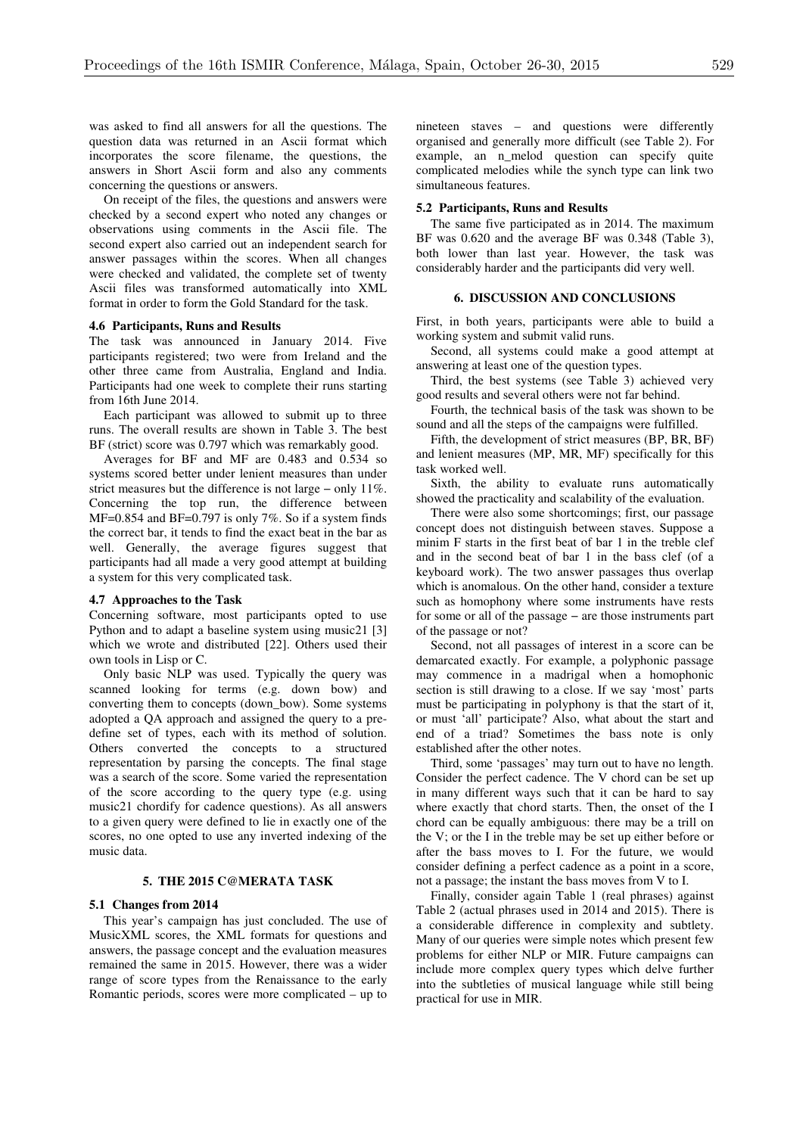was asked to find all answers for all the questions. The question data was returned in an Ascii format which incorporates the score filename, the questions, the answers in Short Ascii form and also any comments concerning the questions or answers.

On receipt of the files, the questions and answers were checked by a second expert who noted any changes or observations using comments in the Ascii file. The second expert also carried out an independent search for answer passages within the scores. When all changes were checked and validated, the complete set of twenty Ascii files was transformed automatically into XML format in order to form the Gold Standard for the task.

### **4.6 Participants, Runs and Results**

The task was announced in January 2014. Five participants registered; two were from Ireland and the other three came from Australia, England and India. Participants had one week to complete their runs starting from 16th June 2014.

Each participant was allowed to submit up to three runs. The overall results are shown in Table 3. The best BF (strict) score was 0.797 which was remarkably good.

Averages for BF and MF are 0.483 and 0.534 so systems scored better under lenient measures than under strict measures but the difference is not large − only 11%. Concerning the top run, the difference between MF=0.854 and BF=0.797 is only 7%. So if a system finds the correct bar, it tends to find the exact beat in the bar as well. Generally, the average figures suggest that participants had all made a very good attempt at building a system for this very complicated task.

#### **4.7 Approaches to the Task**

Concerning software, most participants opted to use Python and to adapt a baseline system using music21 [3] which we wrote and distributed [22]. Others used their own tools in Lisp or C.

Only basic NLP was used. Typically the query was scanned looking for terms (e.g. down bow) and converting them to concepts (down\_bow). Some systems adopted a QA approach and assigned the query to a predefine set of types, each with its method of solution. Others converted the concepts to a structured representation by parsing the concepts. The final stage was a search of the score. Some varied the representation of the score according to the query type (e.g. using music21 chordify for cadence questions). As all answers to a given query were defined to lie in exactly one of the scores, no one opted to use any inverted indexing of the music data.

#### **5. THE 2015 C@MERATA TASK**

#### **5.1 Changes from 2014**

This year's campaign has just concluded. The use of MusicXML scores, the XML formats for questions and answers, the passage concept and the evaluation measures remained the same in 2015. However, there was a wider range of score types from the Renaissance to the early Romantic periods, scores were more complicated – up to nineteen staves – and questions were differently organised and generally more difficult (see Table 2). For example, an n melod question can specify quite complicated melodies while the synch type can link two simultaneous features.

#### **5.2 Participants, Runs and Results**

The same five participated as in 2014. The maximum BF was 0.620 and the average BF was 0.348 (Table 3), both lower than last year. However, the task was considerably harder and the participants did very well.

#### **6. DISCUSSION AND CONCLUSIONS**

First, in both years, participants were able to build a working system and submit valid runs.

Second, all systems could make a good attempt at answering at least one of the question types.

Third, the best systems (see Table 3) achieved very good results and several others were not far behind.

Fourth, the technical basis of the task was shown to be sound and all the steps of the campaigns were fulfilled.

Fifth, the development of strict measures (BP, BR, BF) and lenient measures (MP, MR, MF) specifically for this task worked well.

Sixth, the ability to evaluate runs automatically showed the practicality and scalability of the evaluation.

There were also some shortcomings; first, our passage concept does not distinguish between staves. Suppose a minim F starts in the first beat of bar 1 in the treble clef and in the second beat of bar 1 in the bass clef (of a keyboard work). The two answer passages thus overlap which is anomalous. On the other hand, consider a texture such as homophony where some instruments have rests for some or all of the passage − are those instruments part of the passage or not?

Second, not all passages of interest in a score can be demarcated exactly. For example, a polyphonic passage may commence in a madrigal when a homophonic section is still drawing to a close. If we say 'most' parts must be participating in polyphony is that the start of it, or must 'all' participate? Also, what about the start and end of a triad? Sometimes the bass note is only established after the other notes.

Third, some 'passages' may turn out to have no length. Consider the perfect cadence. The V chord can be set up in many different ways such that it can be hard to say where exactly that chord starts. Then, the onset of the I chord can be equally ambiguous: there may be a trill on the V; or the I in the treble may be set up either before or after the bass moves to I. For the future, we would consider defining a perfect cadence as a point in a score, not a passage; the instant the bass moves from V to I.

Finally, consider again Table 1 (real phrases) against Table 2 (actual phrases used in 2014 and 2015). There is a considerable difference in complexity and subtlety. Many of our queries were simple notes which present few problems for either NLP or MIR. Future campaigns can include more complex query types which delve further into the subtleties of musical language while still being practical for use in MIR.